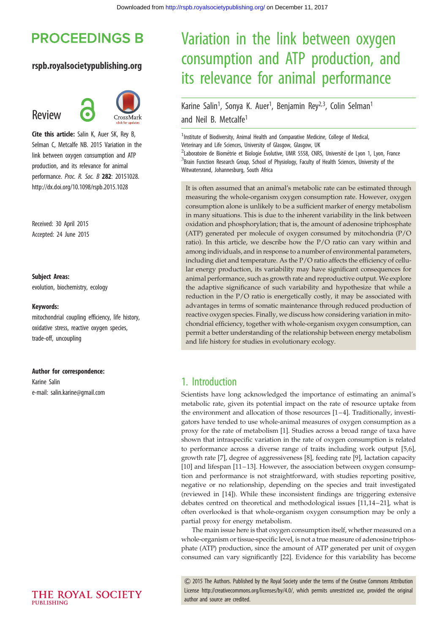# **PROCEEDINGS B**

### rspb.royalsocietypublishing.org

# Review



Cite this article: Salin K, Auer SK, Rey B, Selman C, Metcalfe NB. 2015 Variation in the link between oxygen consumption and ATP production, and its relevance for animal performance. Proc. R. Soc. B 282: 20151028. http://dx.doi.org/10.1098/rspb.2015.1028

Received: 30 April 2015 Accepted: 24 June 2015

#### Subject Areas:

evolution, biochemistry, ecology

#### Keywords:

mitochondrial coupling efficiency, life history, oxidative stress, reactive oxygen species, trade-off, uncoupling

#### Author for correspondence:

Karine Salin e-mail: [salin.karine@gmail.com](mailto:salin.karine@gmail.com)

# Variation in the link between oxygen consumption and ATP production, and its relevance for animal performance

Karine Salin<sup>1</sup>, Sonya K. Auer<sup>1</sup>, Benjamin Rey<sup>2,3</sup>, Colin Selman<sup>1</sup> and Neil B. Metcalfe<sup>1</sup>

<sup>1</sup>Institute of Biodiversity, Animal Health and Comparative Medicine, College of Medical, Veterinary and Life Sciences, University of Glasgow, Glasgow, UK

<sup>2</sup>Laboratoire de Biométrie et Biologie Évolutive, UMR 5558, CNRS, Université de Lyon 1, Lyon, France <sup>3</sup>Brain Function Research Group, School of Physiology, Faculty of Health Sciences, University of the Witwatersrand, Johannesburg, South Africa

It is often assumed that an animal's metabolic rate can be estimated through measuring the whole-organism oxygen consumption rate. However, oxygen consumption alone is unlikely to be a sufficient marker of energy metabolism in many situations. This is due to the inherent variability in the link between oxidation and phosphorylation; that is, the amount of adenosine triphosphate (ATP) generated per molecule of oxygen consumed by mitochondria (P/O ratio). In this article, we describe how the P/O ratio can vary within and among individuals, and in response to a number of environmental parameters, including diet and temperature. As the P/O ratio affects the efficiency of cellular energy production, its variability may have significant consequences for animal performance, such as growth rate and reproductive output. We explore the adaptive significance of such variability and hypothesize that while a reduction in the P/O ratio is energetically costly, it may be associated with advantages in terms of somatic maintenance through reduced production of reactive oxygen species. Finally, we discuss how considering variation in mitochondrial efficiency, together with whole-organism oxygen consumption, can permit a better understanding of the relationship between energy metabolism and life history for studies in evolutionary ecology.

### 1. Introduction

Scientists have long acknowledged the importance of estimating an animal's metabolic rate, given its potential impact on the rate of resource uptake from the environment and allocation of those resources  $[1-4]$  $[1-4]$  $[1-4]$ . Traditionally, investigators have tended to use whole-animal measures of oxygen consumption as a proxy for the rate of metabolism [[1](#page-5-0)]. Studies across a broad range of taxa have shown that intraspecific variation in the rate of oxygen consumption is related to performance across a diverse range of traits including work output [\[5,6\]](#page-5-0), growth rate [\[7\]](#page-5-0), degree of aggressiveness [\[8\]](#page-5-0), feeding rate [[9\]](#page-5-0), lactation capacity [[10\]](#page-6-0) and lifespan [[11](#page-6-0)–13]. However, the association between oxygen consumption and performance is not straightforward, with studies reporting positive, negative or no relationship, depending on the species and trait investigated (reviewed in [\[14](#page-6-0)]). While these inconsistent findings are triggering extensive debates centred on theoretical and methodological issues [[11,14](#page-6-0)-21], what is often overlooked is that whole-organism oxygen consumption may be only a partial proxy for energy metabolism.

The main issue here is that oxygen consumption itself, whether measured on a whole-organism or tissue-specific level, is not a true measure of adenosine triphosphate (ATP) production, since the amount of ATP generated per unit of oxygen consumed can vary significantly [[22](#page-6-0)]. Evidence for this variability has become

& 2015 The Authors. Published by the Royal Society under the terms of the Creative Commons Attribution License [http://creativecommons.org/licenses/by/4.0/, which permits unrestricted use, provided the original](http://creativecommons.org/licenses/by/4.0/) [author and source are credited.](http://creativecommons.org/licenses/by/4.0/)

THE ROYAL SOCIETY PURLISHING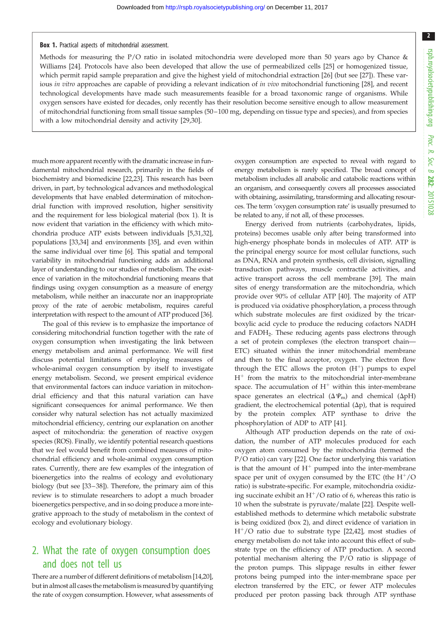#### Box 1. Practical aspects of mitochondrial assessment.

Methods for measuring the P/O ratio in isolated mitochondria were developed more than 50 years ago by Chance & Williams [[24\]](#page-6-0). Protocols have also been developed that allow the use of permeabilized cells [[25\]](#page-6-0) or homogenized tissue, which permit rapid sample preparation and give the highest yield of mitochondrial extraction [\[26](#page-6-0)] (but see [\[27](#page-6-0)]). These var-ious in vitro approaches are capable of providing a relevant indication of in vivo mitochondrial functioning [[28\]](#page-6-0), and recent technological developments have made such measurements feasible for a broad taxonomic range of organisms. While oxygen sensors have existed for decades, only recently has their resolution become sensitive enough to allow measurement of mitochondrial functioning from small tissue samples (50 –100 mg, depending on tissue type and species), and from species with a low mitochondrial density and activity [[29,30](#page-6-0)].

much more apparent recently with the dramatic increase in fundamental mitochondrial research, primarily in the fields of biochemistry and biomedicine [[22](#page-6-0),[23](#page-6-0)]. This research has been driven, in part, by technological advances and methodological developments that have enabled determination of mitochondrial function with improved resolution, higher sensitivity and the requirement for less biological material (box 1). It is now evident that variation in the efficiency with which mitochondria produce ATP exists between individuals [\[5](#page-5-0),[31](#page-6-0),[32](#page-6-0)], populations [\[33,34\]](#page-6-0) and environments [\[35\]](#page-6-0), and even within the same individual over time [\[6](#page-5-0)]. This spatial and temporal variability in mitochondrial functioning adds an additional layer of understanding to our studies of metabolism. The existence of variation in the mitochondrial functioning means that findings using oxygen consumption as a measure of energy metabolism, while neither an inaccurate nor an inappropriate proxy of the rate of aerobic metabolism, requires careful interpretation with respect to the amount of ATP produced [[36](#page-6-0)].

The goal of this review is to emphasize the importance of considering mitochondrial function together with the rate of oxygen consumption when investigating the link between energy metabolism and animal performance. We will first discuss potential limitations of employing measures of whole-animal oxygen consumption by itself to investigate energy metabolism. Second, we present empirical evidence that environmental factors can induce variation in mitochondrial efficiency and that this natural variation can have significant consequences for animal performance. We then consider why natural selection has not actually maximized mitochondrial efficiency, centring our explanation on another aspect of mitochondria: the generation of reactive oxygen species (ROS). Finally, we identify potential research questions that we feel would benefit from combined measures of mitochondrial efficiency and whole-animal oxygen consumption rates. Currently, there are few examples of the integration of bioenergetics into the realms of ecology and evolutionary biology (but see [\[33](#page-6-0)–[38](#page-6-0)]). Therefore, the primary aim of this review is to stimulate researchers to adopt a much broader bioenergetics perspective, and in so doing produce a more integrative approach to the study of metabolism in the context of ecology and evolutionary biology.

### 2. What the rate of oxygen consumption does and does not tell us

There are a number of different definitions of metabolism [\[14,20](#page-6-0)], but in almost all cases the metabolism is measured by quantifying the rate of oxygen consumption. However, what assessments of oxygen consumption are expected to reveal with regard to energy metabolism is rarely specified. The broad concept of metabolism includes all anabolic and catabolic reactions within an organism, and consequently covers all processes associated with obtaining, assimilating, transforming and allocating resources. The term 'oxygen consumption rate' is usually presumed to be related to any, if not all, of these processes.

Energy derived from nutrients (carbohydrates, lipids, proteins) becomes usable only after being transformed into high-energy phosphate bonds in molecules of ATP. ATP is the principal energy source for most cellular functions, such as DNA, RNA and protein synthesis, cell division, signalling transduction pathways, muscle contractile activities, and active transport across the cell membrane [\[39](#page-6-0)]. The main sites of energy transformation are the mitochondria, which provide over 90% of cellular ATP [[40\]](#page-6-0). The majority of ATP is produced via oxidative phosphorylation, a process through which substrate molecules are first oxidized by the tricarboxylic acid cycle to produce the reducing cofactors NADH and FADH2. These reducing agents pass electrons through a set of protein complexes (the electron transport chain— ETC) situated within the inner mitochondrial membrane and then to the final acceptor, oxygen. The electron flow through the ETC allows the proton  $(H<sup>+</sup>)$  pumps to expel  $H^+$  from the matrix to the mitochondrial inter-membrane space. The accumulation of  $H^+$  within this inter-membrane space generates an electrical  $(\Delta \Psi_{\text{m}})$  and chemical  $(\Delta pH)$ gradient, the electrochemical potential  $(\Delta p)$ , that is required by the protein complex ATP synthase to drive the phosphorylation of ADP to ATP [[41\]](#page-6-0).

Although ATP production depends on the rate of oxidation, the number of ATP molecules produced for each oxygen atom consumed by the mitochondria (termed the P/O ratio) can vary [\[22](#page-6-0)]. One factor underlying this variation is that the amount of  $H^+$  pumped into the inter-membrane space per unit of oxygen consumed by the ETC (the  $H^+/O$ ratio) is substrate-specific. For example, mitochondria oxidizing succinate exhibit an  $H^+/O$  ratio of 6, whereas this ratio is 10 when the substrate is pyruvate/malate [[22\]](#page-6-0). Despite wellestablished methods to determine which metabolic substrate is being oxidized (box 2), and direct evidence of variation in  $H<sup>+</sup>/O$  ratio due to substrate type [[22,42\]](#page-6-0), most studies of energy metabolism do not take into account this effect of substrate type on the efficiency of ATP production. A second potential mechanism altering the P/O ratio is slippage of the proton pumps. This slippage results in either fewer protons being pumped into the inter-membrane space per electron transferred by the ETC, or fewer ATP molecules produced per proton passing back through ATP synthase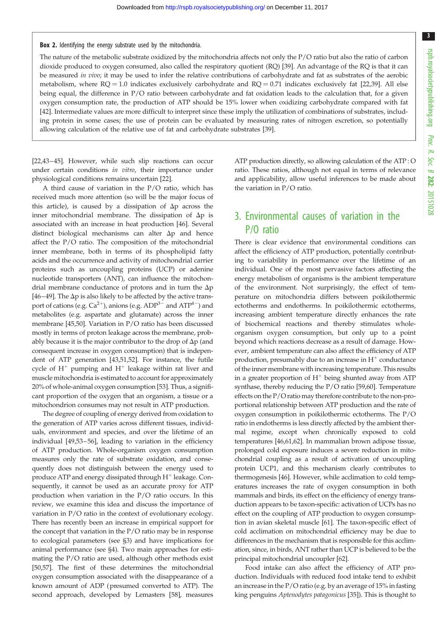Box 2. Identifying the energy substrate used by the mitochondria.

The nature of the metabolic substrate oxidized by the mitochondria affects not only the P/O ratio but also the ratio of carbon dioxide produced to oxygen consumed, also called the respiratory quotient (RQ) [[39\]](#page-6-0). An advantage of the RQ is that it can be measured in vivo; it may be used to infer the relative contributions of carbohydrate and fat as substrates of the aerobic metabolism, where  $RQ = 1.0$  indicates exclusively carbohydrate and  $RQ = 0.71$  indicates exclusively fat [\[22,39](#page-6-0)]. All else being equal, the difference in P/O ratio between carbohydrate and fat oxidation leads to the calculation that, for a given oxygen consumption rate, the production of ATP should be 15% lower when oxidizing carbohydrate compared with fat [[42\]](#page-6-0). Intermediate values are more difficult to interpret since these imply the utilization of combinations of substrates, including protein in some cases; the use of protein can be evaluated by measuring rates of nitrogen excretion, so potentially allowing calculation of the relative use of fat and carbohydrate substrates [[39\]](#page-6-0).

[\[22,43](#page-6-0)–[45\]](#page-6-0). However, while such slip reactions can occur under certain conditions in vitro, their importance under physiological conditions remains uncertain [[22](#page-6-0)].

A third cause of variation in the P/O ratio, which has received much more attention (so will be the major focus of this article), is caused by a dissipation of  $\Delta p$  across the inner mitochondrial membrane. The dissipation of  $\Delta p$  is associated with an increase in heat production [\[46\]](#page-6-0). Several distinct biological mechanisms can alter  $\Delta p$  and hence affect the P/O ratio. The composition of the mitochondrial inner membrane, both in terms of its phospholipid fatty acids and the occurrence and activity of mitochondrial carrier proteins such as uncoupling proteins (UCP) or adenine nucleotide transporters (ANT), can influence the mitochondrial membrane conductance of protons and in turn the  $\Delta p$ [\[46](#page-6-0)–[49](#page-6-0)]. The  $\Delta p$  is also likely to be affected by the active transport of cations (e.g.  $Ca^{2+}$ ), anions (e.g.  $ADP^{3-}$  and  $ATP^{4-}$ ) and metabolites (e.g. aspartate and glutamate) across the inner membrane [[45,50](#page-6-0)]. Variation in P/O ratio has been discussed mostly in terms of proton leakage across the membrane, probably because it is the major contributor to the drop of  $\Delta p$  (and consequent increase in oxygen consumption) that is independent of ATP generation [\[43](#page-6-0),[51](#page-6-0),[52\]](#page-6-0). For instance, the futile cycle of  $H^+$  pumping and  $H^+$  leakage within rat liver and muscle mitochondria is estimated to account for approximately 20% of whole-animal oxygen consumption [\[53](#page-7-0)]. Thus, a significant proportion of the oxygen that an organism, a tissue or a mitochondrion consumes may not result in ATP production.

The degree of coupling of energy derived from oxidation to the generation of ATP varies across different tissues, individuals, environment and species, and over the lifetime of an individual [\[49](#page-6-0)[,53](#page-7-0)–[56](#page-7-0)], leading to variation in the efficiency of ATP production. Whole-organism oxygen consumption measures only the rate of substrate oxidation, and consequently does not distinguish between the energy used to produce ATP and energy dissipated through  $H^+$  leakage. Consequently, it cannot be used as an accurate proxy for ATP production when variation in the P/O ratio occurs. In this review, we examine this idea and discuss the importance of variation in P/O ratio in the context of evolutionary ecology. There has recently been an increase in empirical support for the concept that variation in the P/O ratio may be in response to ecological parameters (see §3) and have implications for animal performance (see §4). Two main approaches for estimating the P/O ratio are used, although other methods exist [\[50](#page-6-0)[,57](#page-7-0)]. The first of these determines the mitochondrial oxygen consumption associated with the disappearance of a known amount of ADP (presumed converted to ATP). The second approach, developed by Lemasters [[58\]](#page-7-0), measures

ATP production directly, so allowing calculation of the ATP : O ratio. These ratios, although not equal in terms of relevance and applicability, allow useful inferences to be made about the variation in P/O ratio.

### 3. Environmental causes of variation in the P/O ratio

There is clear evidence that environmental conditions can affect the efficiency of ATP production, potentially contributing to variability in performance over the lifetime of an individual. One of the most pervasive factors affecting the energy metabolism of organisms is the ambient temperature of the environment. Not surprisingly, the effect of temperature on mitochondria differs between poikilothermic ectotherms and endotherms. In poikilothermic ectotherms, increasing ambient temperature directly enhances the rate of biochemical reactions and thereby stimulates wholeorganism oxygen consumption, but only up to a point beyond which reactions decrease as a result of damage. However, ambient temperature can also affect the efficiency of ATP production, presumably due to an increase in  $H^+$  conductance of the inner membrane with increasing temperature. This results in a greater proportion of  $H^+$  being shunted away from ATP synthase, thereby reducing the P/O ratio [\[59,60](#page-7-0)]. Temperature effects on the P/O ratio may therefore contribute to the non-proportional relationship between ATP production and the rate of oxygen consumption in poikilothermic ectotherms. The P/O ratio in endotherms is less directly affected by the ambient thermal regime, except when chronically exposed to cold temperatures [\[46](#page-6-0)[,61,62\]](#page-7-0). In mammalian brown adipose tissue, prolonged cold exposure induces a severe reduction in mitochondrial coupling as a result of activation of uncoupling protein UCP1, and this mechanism clearly contributes to thermogenesis [\[46\]](#page-6-0). However, while acclimation to cold temperatures increases the rate of oxygen consumption in both mammals and birds, its effect on the efficiency of energy transduction appears to be taxon-specific: activation of UCPs has no effect on the coupling of ATP production to oxygen consumption in avian skeletal muscle [\[61](#page-7-0)]. The taxon-specific effect of cold acclimation on mitochondrial efficiency may be due to differences in the mechanism that is responsible for this acclimation, since, in birds, ANT rather than UCP is believed to be the principal mitochondrial uncoupler [\[62\]](#page-7-0).

Food intake can also affect the efficiency of ATP production. Individuals with reduced food intake tend to exhibit an increase in the P/O ratio (e.g. by an average of 15% in fasting king penguins Aptenodytes patagonicus [[35\]](#page-6-0)). This is thought to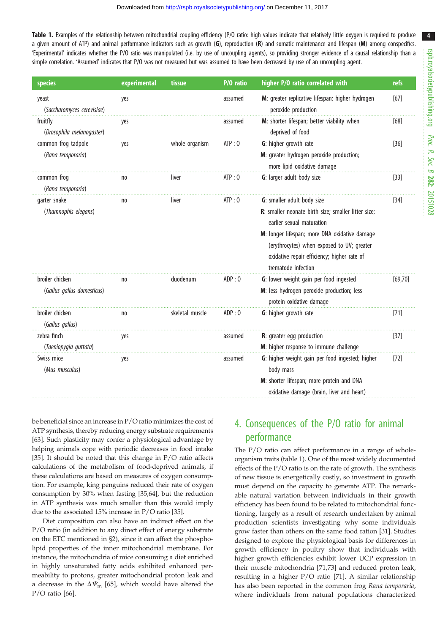<span id="page-3-0"></span>Table 1. Examples of the relationship between mitochondrial coupling efficiency (P/O ratio: high values indicate that relatively little oxygen is required to produce a given amount of ATP) and animal performance indicators such as growth (G), reproduction (R) and somatic maintenance and lifespan (M) among conspecifics. 'Experimental' indicates whether the P/O ratio was manipulated (i.e. by use of uncoupling agents), so providing stronger evidence of a causal relationship than a simple correlation. 'Assumed' indicates that P/O was not measured but was assumed to have been decreased by use of an uncoupling agent.

| species                                       | experimental   | tissue          | P/O ratio | higher P/O ratio correlated with                                                                                                                                                                                                                                                    | refs     |
|-----------------------------------------------|----------------|-----------------|-----------|-------------------------------------------------------------------------------------------------------------------------------------------------------------------------------------------------------------------------------------------------------------------------------------|----------|
| yeast<br>(Saccharomyces cerevisiae)           | yes            |                 | assumed   | M: greater replicative lifespan; higher hydrogen<br>peroxide production                                                                                                                                                                                                             | $[67]$   |
| fruitfly<br>(Drosophila melanogaster)         | yes            |                 | assumed   | M: shorter lifespan; better viability when<br>deprived of food                                                                                                                                                                                                                      | [68]     |
| common frog tadpole<br>(Rana temporaria)      | yes            | whole organism  | ATP:0     | G: higher growth rate<br>M: greater hydrogen peroxide production;<br>more lipid oxidative damage                                                                                                                                                                                    | $[36]$   |
| common frog<br>(Rana temporaria)              | no             | liver           | ATP:0     | G: larger adult body size                                                                                                                                                                                                                                                           | $[33]$   |
| garter snake<br>(Thamnophis elegans)          | n <sub>0</sub> | liver           | ATP:0     | G: smaller adult body size<br>R: smaller neonate birth size; smaller litter size;<br>earlier sexual maturation<br>M: longer lifespan; more DNA oxidative damage<br>(erythrocytes) when exposed to UV; greater<br>oxidative repair efficiency; higher rate of<br>trematode infection | $[34]$   |
| broiler chicken<br>(Gallus gallus domesticus) | no             | duodenum        | ADP:0     | G: lower weight gain per food ingested<br>M: less hydrogen peroxide production; less<br>protein oxidative damage                                                                                                                                                                    | [69, 70] |
| broiler chicken<br>(Gallus gallus)            | n <sub>0</sub> | skeletal muscle | ADP:0     | G: higher growth rate                                                                                                                                                                                                                                                               | $[71]$   |
| zebra finch<br>(Taeniopygia guttata)          | yes            |                 | assumed   | R: greater egg production<br>M: higher response to immune challenge                                                                                                                                                                                                                 | $[37]$   |
| Swiss mice<br>(Mus musculus)                  | yes            |                 | assumed   | G: higher weight gain per food ingested; higher<br>body mass<br>M: shorter lifespan; more protein and DNA<br>oxidative damage (brain, liver and heart)                                                                                                                              | $[72]$   |

be beneficial since an increase in P/O ratio minimizes the cost of ATP synthesis, thereby reducing energy substrate requirements [\[63](#page-7-0)]. Such plasticity may confer a physiological advantage by helping animals cope with periodic decreases in food intake [\[35](#page-6-0)]. It should be noted that this change in P/O ratio affects calculations of the metabolism of food-deprived animals, if these calculations are based on measures of oxygen consumption. For example, king penguins reduced their rate of oxygen consumption by 30% when fasting [[35](#page-6-0),[64](#page-7-0)], but the reduction in ATP synthesis was much smaller than this would imply due to the associated 15% increase in P/O ratio [\[35\]](#page-6-0).

Diet composition can also have an indirect effect on the P/O ratio (in addition to any direct effect of energy substrate on the ETC mentioned in §2), since it can affect the phospholipid properties of the inner mitochondrial membrane. For instance, the mitochondria of mice consuming a diet enriched in highly unsaturated fatty acids exhibited enhanced permeability to protons, greater mitochondrial proton leak and a decrease in the  $\Delta \Psi_{\text{m}}$  [\[65](#page-7-0)], which would have altered the P/O ratio [\[66](#page-7-0)].

### 4. Consequences of the P/O ratio for animal performance

The P/O ratio can affect performance in a range of wholeorganism traits (table 1). One of the most widely documented effects of the P/O ratio is on the rate of growth. The synthesis of new tissue is energetically costly, so investment in growth must depend on the capacity to generate ATP. The remarkable natural variation between individuals in their growth efficiency has been found to be related to mitochondrial functioning, largely as a result of research undertaken by animal production scientists investigating why some individuals grow faster than others on the same food ration [\[31](#page-6-0)]. Studies designed to explore the physiological basis for differences in growth efficiency in poultry show that individuals with higher growth efficiencies exhibit lower UCP expression in their muscle mitochondria [\[71,73](#page-7-0)] and reduced proton leak, resulting in a higher P/O ratio [\[71](#page-7-0)]. A similar relationship has also been reported in the common frog Rana temporaria, where individuals from natural populations characterized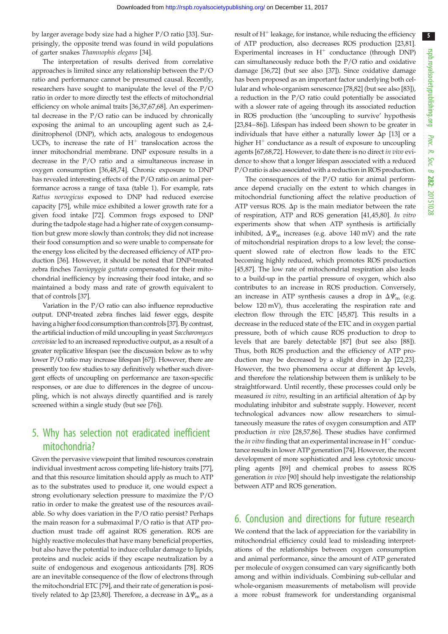by larger average body size had a higher P/O ratio [\[33](#page-6-0)]. Surprisingly, the opposite trend was found in wild populations of garter snakes Thamnophis elegans [[34\]](#page-6-0).

The interpretation of results derived from correlative approaches is limited since any relationship between the P/O ratio and performance cannot be presumed causal. Recently, researchers have sought to manipulate the level of the P/O ratio in order to more directly test the effects of mitochondrial efficiency on whole animal traits [\[36,37](#page-6-0)[,67,68](#page-7-0)]. An experimental decrease in the P/O ratio can be induced by chronically exposing the animal to an uncoupling agent such as 2,4 dinitrophenol (DNP), which acts, analogous to endogenous UCPs, to increase the rate of  $H^+$  translocation across the inner mitochondrial membrane. DNP exposure results in a decrease in the P/O ratio and a simultaneous increase in oxygen consumption [[36,48,](#page-6-0)[74\]](#page-7-0). Chronic exposure to DNP has revealed interesting effects of the P/O ratio on animal performance across a range of taxa [\(table 1](#page-3-0)). For example, rats Rattus norvegicus exposed to DNP had reduced exercise capacity [[75](#page-7-0)], while mice exhibited a lower growth rate for a given food intake [[72\]](#page-7-0). Common frogs exposed to DNP during the tadpole stage had a higher rate of oxygen consumption but grew more slowly than controls; they did not increase their food consumption and so were unable to compensate for the energy loss elicited by the decreased efficiency of ATP production [[36\]](#page-6-0). However, it should be noted that DNP-treated zebra finches Taeniopygia guttata compensated for their mitochondrial inefficiency by increasing their food intake, and so maintained a body mass and rate of growth equivalent to that of controls [[37\]](#page-6-0).

Variation in the P/O ratio can also influence reproductive output. DNP-treated zebra finches laid fewer eggs, despite having a higher food consumption than controls [\[37\]](#page-6-0). By contrast, the artificial induction of mild uncoupling in yeast Saccharomyces cerevisiae led to an increased reproductive output, as a result of a greater replicative lifespan (see the discussion below as to why lower P/O ratio may increase lifespan [\[67\]](#page-7-0)). However, there are presently too few studies to say definitively whether such divergent effects of uncoupling on performance are taxon-specific responses, or are due to differences in the degree of uncoupling, which is not always directly quantified and is rarely screened within a single study (but see [[76\]](#page-7-0)).

## 5. Why has selection not eradicated inefficient mitochondria?

Given the pervasive viewpoint that limited resources constrain individual investment across competing life-history traits [\[77](#page-7-0)], and that this resource limitation should apply as much to ATP as to the substrates used to produce it, one would expect a strong evolutionary selection pressure to maximize the P/O ratio in order to make the greatest use of the resources available. So why does variation in the P/O ratio persist? Perhaps the main reason for a submaximal P/O ratio is that ATP production must trade off against ROS generation. ROS are highly reactive molecules that have many beneficial properties, but also have the potential to induce cellular damage to lipids, proteins and nucleic acids if they escape neutralization by a suite of endogenous and exogenous antioxidants [\[78](#page-7-0)]. ROS are an inevitable consequence of the flow of electrons through the mitochondrial ETC [\[79](#page-7-0)], and their rate of generation is positively related to  $\Delta p$  [[23,](#page-6-0)[80](#page-7-0)]. Therefore, a decrease in  $\Delta \Psi_{\rm m}$  as a

result of  $H^+$  leakage, for instance, while reducing the efficiency of ATP production, also decreases ROS production [[23,](#page-6-0)[81\]](#page-7-0). Experimental increases in  $H^+$  conductance (through DNP) can simultaneously reduce both the P/O ratio and oxidative damage [\[36,](#page-6-0)[72\]](#page-7-0) (but see also [\[37](#page-6-0)]). Since oxidative damage has been proposed as an important factor underlying both cellular and whole-organism senescence [[78,82\]](#page-7-0) (but see also [\[83\]](#page-7-0)), a reduction in the P/O ratio could potentially be associated with a slower rate of ageing through its associated reduction in ROS production (the 'uncoupling to survive' hypothesis [[23](#page-6-0),[84](#page-7-0)–[86](#page-7-0)]). Lifespan has indeed been shown to be greater in individuals that have either a naturally lower  $\Delta p$  [[13\]](#page-6-0) or a higher  $H^+$  conductance as a result of exposure to uncoupling agents [[67](#page-7-0),[68](#page-7-0),[72](#page-7-0)]. However, to date there is no direct in vivo evidence to show that a longer lifespan associated with a reduced P/O ratio is also associated with a reduction in ROS production.

The consequences of the P/O ratio for animal performance depend crucially on the extent to which changes in mitochondrial functioning affect the relative production of ATP versus ROS.  $\Delta p$  is the main mediator between the rate of respiration, ATP and ROS generation [[41,45](#page-6-0)[,80](#page-7-0)]. In vitro experiments show that when ATP synthesis is artificially inhibited,  $\Delta \Psi_{\text{m}}$  increases (e.g. above 140 mV) and the rate of mitochondrial respiration drops to a low level; the consequent slowed rate of electron flow leads to the ETC becoming highly reduced, which promotes ROS production [[45,](#page-6-0)[87\]](#page-7-0). The low rate of mitochondrial respiration also leads to a build-up in the partial pressure of oxygen, which also contributes to an increase in ROS production. Conversely, an increase in ATP synthesis causes a drop in  $\Delta \Psi_{\text{m}}$  (e.g. below 120 mV), thus accelerating the respiration rate and electron flow through the ETC [\[45](#page-6-0)[,87](#page-7-0)]. This results in a decrease in the reduced state of the ETC and in oxygen partial pressure, both of which cause ROS production to drop to levels that are barely detectable [\[87](#page-7-0)] (but see also [[88\]](#page-7-0)). Thus, both ROS production and the efficiency of ATP production may be decreased by a slight drop in  $\Delta p$  [\[22](#page-6-0),[23\]](#page-6-0). However, the two phenomena occur at different  $\Delta p$  levels, and therefore the relationship between them is unlikely to be straightforward. Until recently, these processes could only be measured in vitro, resulting in an artificial alteration of  $\Delta p$  by modulating inhibitor and substrate supply. However, recent technological advances now allow researchers to simultaneously measure the rates of oxygen consumption and ATP production in vivo [\[28](#page-6-0)[,57,86](#page-7-0)]. These studies have confirmed the *in vitro* finding that an experimental increase in  $H^+$  conductance results in lower ATP generation [[74](#page-7-0)]. However, the recent development of more sophisticated and less cytotoxic uncoupling agents [\[89](#page-7-0)] and chemical probes to assess ROS generation in vivo [\[90](#page-7-0)] should help investigate the relationship between ATP and ROS generation.

### 6. Conclusion and directions for future research

We contend that the lack of appreciation for the variability in mitochondrial efficiency could lead to misleading interpretations of the relationships between oxygen consumption and animal performance, since the amount of ATP generated per molecule of oxygen consumed can vary significantly both among and within individuals. Combining sub-cellular and whole-organism measurements of metabolism will provide a more robust framework for understanding organismal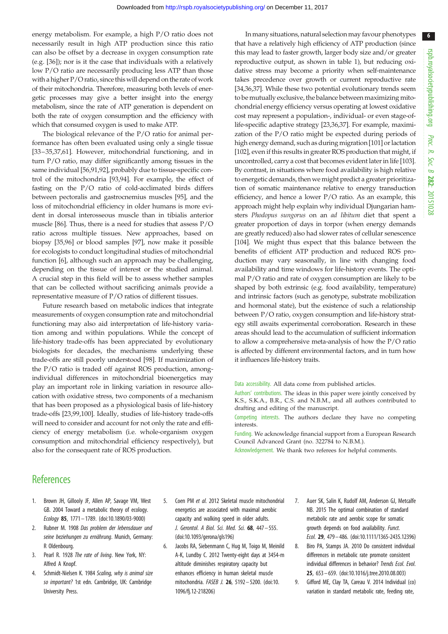<span id="page-5-0"></span>energy metabolism. For example, a high P/O ratio does not necessarily result in high ATP production since this ratio can also be offset by a decrease in oxygen consumption rate (e.g. [[36\]](#page-6-0)); nor is it the case that individuals with a relatively low P/O ratio are necessarily producing less ATP than those with a higher P/O ratio, since this will depend on the rate of work of their mitochondria. Therefore, measuring both levels of energetic processes may give a better insight into the energy metabolism, since the rate of ATP generation is dependent on both the rate of oxygen consumption and the efficiency with which that consumed oxygen is used to make ATP.

The biological relevance of the P/O ratio for animal performance has often been evaluated using only a single tissue [\[33](#page-6-0)–[35](#page-6-0),[37,](#page-6-0)[61\]](#page-7-0). However, mitochondrial functioning, and in turn P/O ratio, may differ significantly among tissues in the same individual [[56,91](#page-7-0)[,92](#page-8-0)], probably due to tissue-specific control of the mitochondria [\[93](#page-8-0),[94](#page-8-0)]. For example, the effect of fasting on the P/O ratio of cold-acclimated birds differs between pectoralis and gastrocnemius muscles [\[95](#page-8-0)], and the loss of mitochondrial efficiency in older humans is more evident in dorsal interosseous muscle than in tibialis anterior muscle [[86\]](#page-7-0). Thus, there is a need for studies that assess P/O ratio across multiple tissues. New approaches, based on biopsy [\[35](#page-6-0)[,96](#page-8-0)] or blood samples [[97\]](#page-8-0), now make it possible for ecologists to conduct longitudinal studies of mitochondrial function [6], although such an approach may be challenging, depending on the tissue of interest or the studied animal. A crucial step in this field will be to assess whether samples that can be collected without sacrificing animals provide a representative measure of P/O ratios of different tissues.

Future research based on metabolic indices that integrate measurements of oxygen consumption rate and mitochondrial functioning may also aid interpretation of life-history variation among and within populations. While the concept of life-history trade-offs has been appreciated by evolutionary biologists for decades, the mechanisms underlying these trade-offs are still poorly understood [[98](#page-8-0)]. If maximization of the P/O ratio is traded off against ROS production, amongindividual differences in mitochondrial bioenergetics may play an important role in linking variation in resource allocation with oxidative stress, two components of a mechanism that has been proposed as a physiological basis of life-history trade-offs [\[23](#page-6-0),[99](#page-8-0),[100\]](#page-8-0). Ideally, studies of life-history trade-offs will need to consider and account for not only the rate and efficiency of energy metabolism (i.e. whole-organism oxygen consumption and mitochondrial efficiency respectively), but also for the consequent rate of ROS production.

In many situations, natural selection may favour phenotypes that have a relatively high efficiency of ATP production (since this may lead to faster growth, larger body size and/or greater reproductive output, as shown in [table 1](#page-3-0)), but reducing oxidative stress may become a priority when self-maintenance takes precedence over growth or current reproductive rate [[34](#page-6-0),[36,37](#page-6-0)]. While these two potential evolutionary trends seem to be mutually exclusive, the balance between maximizing mitochondrial energy efficiency versus operating at lowest oxidative cost may represent a population-, individual- or even stage-oflife-specific adaptive strategy [[23,36,37](#page-6-0)]. For example, maximization of the P/O ratio might be expected during periods of high energy demand, such as during migration [\[101](#page-8-0)] or lactation [[102\]](#page-8-0), even if this results in greater ROS production that might, if uncontrolled, carry a cost that becomes evident later in life [[103\]](#page-8-0). By contrast, in situations where food availability is high relative to energetic demands, then we might predict a greater prioritization of somatic maintenance relative to energy transduction efficiency, and hence a lower P/O ratio. As an example, this approach might help explain why individual Djungarian hamsters Phodopus sungorus on an ad libitum diet that spent a greater proportion of days in torpor (when energy demands are greatly reduced) also had slower rates of cellular senescence [[104\]](#page-8-0). We might thus expect that this balance between the benefits of efficient ATP production and reduced ROS production may vary seasonally, in line with changing food availability and time windows for life-history events. The optimal P/O ratio and rate of oxygen consumption are likely to be shaped by both extrinsic (e.g. food availability, temperature) and intrinsic factors (such as genotype, substrate mobilization and hormonal state), but the existence of such a relationship between P/O ratio, oxygen consumption and life-history strategy still awaits experimental corroboration. Research in these areas should lead to the accumulation of sufficient information to allow a comprehensive meta-analysis of how the P/O ratio is affected by different environmental factors, and in turn how it influences life-history traits.

Data accessibility. All data come from published articles.

Authors' contributions. The ideas in this paper were jointly conceived by K.S., S.K.A., B.R., C.S. and N.B.M., and all authors contributed to drafting and editing of the manuscript.

Competing interests. The authors declare they have no competing interests.

Funding. We acknowledge financial support from a European Research Council Advanced Grant (no. 322784 to N.B.M.).

Acknowledgement. We thank two referees for helpful comments.

### **References**

- Brown JH, Gillooly JF, Allen AP, Savage VM, West GB. 2004 Toward a metabolic theory of ecology. Ecology 85, 1771 – 1789. ([doi:10.1890/03-9000\)](http://dx.doi.org/10.1890/03-9000)
- 2. Rubner M. 1908 Das problem der lebensdauer und seine beziehungen zu ernährung. Munich, Germany: R Oldenbourg.
- 3. Pearl R. 1928 The rate of living. New York, NY: Alfred A Knopf.
- 4. Schmidt-Nielsen K. 1984 Scaling, why is animal size so important? 1st edn. Cambridge, UK: Cambridge University Press.
- 5. Coen PM et al. 2012 Skeletal muscle mitochondrial energetics are associated with maximal aerobic capacity and walking speed in older adults. J. Gerontol. A Biol. Sci. Med. Sci. 68, 447– 555. [\(doi:10.1093/gerona/gls196\)](http://dx.doi.org/10.1093/gerona/gls196)
- 6. Jacobs RA, Siebenmann C, Hug M, Toigo M, Meinild A-K, Lundby C. 2012 Twenty-eight days at 3454-m altitude diminishes respiratory capacity but enhances efficiency in human skeletal muscle mitochondria. FASEB J. 26, 5192– 5200. ([doi:10.](http://dx.doi.org/10.1096/fj.12-218206) [1096/fj.12-218206\)](http://dx.doi.org/10.1096/fj.12-218206)
- 7. Auer SK, Salin K, Rudolf AM, Anderson GJ, Metcalfe NB. 2015 The optimal combination of standard metabolic rate and aerobic scope for somatic growth depends on food availability. Funct. Ecol. 29, 479– 486. ([doi:10.1111/1365-2435.12396](http://dx.doi.org/10.1111/1365-2435.12396))
- 8. Biro PA, Stamps JA. 2010 Do consistent individual differences in metabolic rate promote consistent individual differences in behavior? Trends Ecol. Evol. 25, 653 – 659. [\(doi:10.1016/j.tree.2010.08.003](http://dx.doi.org/10.1016/j.tree.2010.08.003))
- 9. Gifford ME, Clay TA, Careau V. 2014 Individual (co) variation in standard metabolic rate, feeding rate,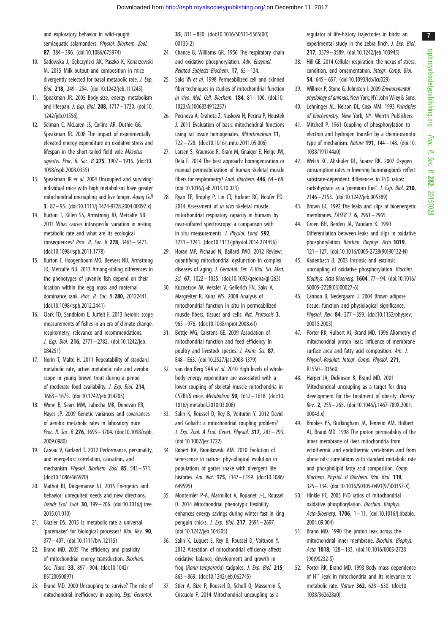<span id="page-6-0"></span>and exploratory behavior in wild-caught semiaquatic salamanders. Physiol. Biochem. Zool. 87, 384– 396. ([doi:10.1086/675974\)](http://dx.doi.org/10.1086/675974)

- 10. Sadowska J, Gebczyński AK, Paszko K, Konarzewski M. 2015 Milk output and composition in mice divergently selected for basal metabolic rate. *J. Exp.* Biol. 218, 249– 254. [\(doi:10.1242/jeb.111245](http://dx.doi.org/10.1242/jeb.111245))
- 11. Speakman JR. 2005 Body size, energy metabolism and lifespan. J. Exp. Biol. 208, 1717 - 1730. ([doi:10.](http://dx.doi.org/10.1242/jeb.01556) [1242/jeb.01556](http://dx.doi.org/10.1242/jeb.01556))
- 12. Selman C, McLaren JS, Collins AR, Duthie GG, Speakman JR. 2008 The impact of experimentally elevated energy expenditure on oxidative stress and lifespan in the short-tailed field vole Microtus agrestis. Proc. R. Soc. B 275, 1907 – 1916. ([doi:10.](http://dx.doi.org/10.1098/rspb.2008.0355) [1098/rspb.2008.0355](http://dx.doi.org/10.1098/rspb.2008.0355))
- 13. Speakman JR et al. 2004 Uncoupled and surviving: individual mice with high metabolism have greater mitochondrial uncoupling and live longer. Aging Cell 3, 87 – 95. [\(doi:10.1111/j.1474-9728.2004.00097.x](http://dx.doi.org/10.1111/j.1474-9728.2004.00097.x))
- 14. Burton T, Killen SS, Armstrong JD, Metcalfe NB. 2011 What causes intraspecific variation in resting metabolic rate and what are its ecological consequences? Proc. R. Soc. B 278, 3465 – 3473. [\(doi:10.1098/rspb.2011.1778](http://dx.doi.org/10.1098/rspb.2011.1778))
- 15. Burton T, Hoogenboom MO, Beevers ND, Armstrong JD, Metcalfe NB. 2013 Among-sibling differences in the phenotypes of juvenile fish depend on their location within the egg mass and maternal dominance rank. Proc. R. Soc. B 280, 20122441. [\(doi:10.1098/rspb.2012.2441](http://dx.doi.org/10.1098/rspb.2012.2441))
- 16. Clark TD, Sandblom E, Jutfelt F. 2013 Aerobic scope measurements of fishes in an era of climate change: respirometry, relevance and recommendations. J. Exp. Biol. 216, 2771– 2782. ([doi:10.1242/jeb.](http://dx.doi.org/10.1242/jeb.084251) [084251](http://dx.doi.org/10.1242/jeb.084251))
- 17. Norin T, Malte H. 2011 Repeatability of standard metabolic rate, active metabolic rate and aerobic scope in young brown trout during a period of moderate food availability. J. Exp. Biol. 214, 1668 – 1675. [\(doi:10.1242/jeb.054205](http://dx.doi.org/10.1242/jeb.054205))
- 18. Wone B, Sears MW, Labocha MK, Donovan ER, Hayes JP. 2009 Genetic variances and covariances of aerobic metabolic rates in laboratory mice. Proc. R. Soc. B 276, 3695– 3704. [\(doi:10.1098/rspb.](http://dx.doi.org/10.1098/rspb.2009.0980) [2009.0980\)](http://dx.doi.org/10.1098/rspb.2009.0980)
- 19. Careau V, Garland T. 2012 Performance, personality, and energetics: correlation, causation, and mechanism. Physiol. Biochem. Zool. 85, 543 – 571. [\(doi:10.1086/666970](http://dx.doi.org/10.1086/666970))
- 20. Mathot KJ, Dingemanse NJ. 2015 Energetics and behavior: unrequited needs and new directions. Trends Ecol. Evol. 30, 199 – 206. ([doi:10.1016/j.tree.](http://dx.doi.org/10.1016/j.tree.2015.01.010) [2015.01.010\)](http://dx.doi.org/10.1016/j.tree.2015.01.010)
- 21. Glazier DS. 2015 Is metabolic rate a universal 'pacemaker' for biological processes? Biol. Rev. 90, 377– 407. ([doi:10.1111/brv.12115](http://dx.doi.org/10.1111/brv.12115))
- 22. Brand MD. 2005 The efficiency and plasticity of mitochondrial energy transduction. Biochem. Soc. Trans. 33, 897– 904. [\(doi:10.1042/](http://dx.doi.org/10.1042/BST20050897) [BST20050897](http://dx.doi.org/10.1042/BST20050897))
- 23. Brand MD. 2000 Uncoupling to survive? The role of mitochondrial inefficiency in ageing. Exp. Gerontol.

35, 811– 820. ([doi:10.1016/S0531-5565\(00\)](http://dx.doi.org/10.1016/S0531-5565(00)00135-2) [00135-2\)](http://dx.doi.org/10.1016/S0531-5565(00)00135-2)

- 24. Chance B, Williams GR. 1956 The respiratory chain and oxidative phosphorylation. Adv. Enzymol. Related Subjects Biochem. 17, 65 – 134.
- 25. Saks VA et al. 1998 Permeabilized cell and skinned fiber techniques in studies of mitochondrial function in vivo. Mol. Cell. Biochem. 184, 81 – 100. [\(doi:10.](http://dx.doi.org/10.1023/A:1006834912257) [1023/A:1006834912257](http://dx.doi.org/10.1023/A:1006834912257))
- 26. Pecinova A, Drahota Z, Nuskova H, Pecina P, Houstek J. 2011 Evaluation of basic mitochondrial functions using rat tissue homogenates. Mitochondrion 11, 722 – 728. [\(doi:10.1016/j.mito.2011.05.006](http://dx.doi.org/10.1016/j.mito.2011.05.006))
- 27. Larsen S, Kraunsoe R, Gram M, Gnaiger E, Helge JW, Dela F. 2014 The best approach: homogenization or manual permeabilization of human skeletal muscle fibers for respirometry? Anal. Biochem. 446, 64 – 68. [\(doi:10.1016/j.ab.2013.10.023](http://dx.doi.org/10.1016/j.ab.2013.10.023))
- 28. Ryan TE, Brophy P, Lin CT, Hickner RC, Neufer PD. 2014 Assessment of *in vivo* skeletal muscle mitochondrial respiratory capacity in humans by near-infrared spectroscopy: a comparison with in situ measurements. J. Physiol. Lond. 592, 3231 – 3241. [\(doi:10.1113/jphysiol.2014.274456\)](http://dx.doi.org/10.1113/jphysiol.2014.274456)
- 29. Horan MP, Pichaud N, Ballard JWO. 2012 Review: quantifying mitochondrial dysfunction in complex diseases of aging. J. Gerontol. Ser. A Biol. Sci. Med. Sci. 67, 1022– 1035. [\(doi:10.1093/gerona/glr263](http://dx.doi.org/10.1093/gerona/glr263))
- 30. Kuznetsov AV, Veksler V, Gellerich FN, Saks V, Margreiter R, Kunz WS. 2008 Analysis of mitochondrial function in situ in permeabilized muscle fibers, tissues and cells. Nat. Protocols 3, 965 – 976. [\(doi:10.1038/nprot.2008.61](http://dx.doi.org/10.1038/nprot.2008.61))
- 31. Bottje WG, Carstens GE. 2009 Association of mitochondrial function and feed efficiency in poultry and livestock species. J. Anim. Sci. 87, E48 – E63. ([doi:10.2527/jas.2008-1379\)](http://dx.doi.org/10.2527/jas.2008-1379)
- 32. van den Berg SAA et al. 2010 High levels of wholebody energy expenditure are associated with a lower coupling of skeletal muscle mitochondria in C57Bl/6 mice. Metabolism 59, 1612– 1618. [\(doi:10.](http://dx.doi.org/10.1016/j.metabol.2010.03.008) [1016/j.metabol.2010.03.008](http://dx.doi.org/10.1016/j.metabol.2010.03.008))
- 33. Salin K, Roussel D, Rey B, Voituron Y. 2012 David and Goliath: a mitochondrial coupling problem? J. Exp. Zool. A Ecol. Genet. Physiol. 317, 283– 293. [\(doi:10.1002/jez.1722\)](http://dx.doi.org/10.1002/jez.1722)
- 34. Robert KA, Bronikowski AM. 2010 Evolution of senescence in nature: physiological evolution in populations of garter snake with divergent life histories. Am. Nat. 175, E147 – E159. [\(doi:10.1086/](http://dx.doi.org/10.1086/649595) [649595](http://dx.doi.org/10.1086/649595))
- 35. Monternier P-A, Marmillot V, Rouanet J-L, Roussel D. 2014 Mitochondrial phenotypic flexibility enhances energy savings during winter fast in king penguin chicks. J. Exp. Biol. 217, 2691 – 2697. [\(doi:10.1242/jeb.104505](http://dx.doi.org/10.1242/jeb.104505))
- 36. Salin K, Luquet E, Rey B, Roussel D, Voituron Y. 2012 Alteration of mitochondrial efficiency affects oxidative balance, development and growth in frog (Rana temporaria) tadpoles. J. Exp. Biol. 215, 863– 869. [\(doi:10.1242/jeb.062745](http://dx.doi.org/10.1242/jeb.062745))
- 37. Stier A, Bize P, Roussel D, Schull Q, Massemin S, Criscuolo F. 2014 Mitochondrial uncoupling as a

regulator of life-history trajectories in birds: an experimental study in the zebra finch. J. Exp. Biol. 217, 3579– 3589. ([doi:10.1242/jeb.103945\)](http://dx.doi.org/10.1242/jeb.103945)

- 38. Hill GE. 2014 Cellular respiration: the nexus of stress, condition, and ornamentation. Integr. Comp. Biol. 54, 645 – 657. [\(doi:10.1093/icb/icu029](http://dx.doi.org/10.1093/icb/icu029))
- 39. Willmer P, Stone G, Johnston I. 2009 Environmental physiology of animals. New York, NY: John Wiley & Sons.
- 40. Lehninger AL, Nelson DL, Cosx MM. 1993 Principles of biochemistry. New York, NY: Worrth Publishers.
- 41. Mitchell P. 1961 Coupling of phosphorylation to electron and hydrogen transfer by a chemi-osmotic type of mechanism. Nature 191, 144– 148. [\(doi:10.](http://dx.doi.org/10.1038/191144a0) [1038/191144a0](http://dx.doi.org/10.1038/191144a0))
- 42. Welch KC, Altshuler DL, Suarez RK. 2007 Oxygen consumption rates in hovering hummingbirds reflect substrate-dependent differences in P/O ratios: carbohydrate as a 'premium fuel'. J. Exp. Biol. 210, 2146– 2153. ([doi:10.1242/jeb.005389\)](http://dx.doi.org/10.1242/jeb.005389)
- 43. Brown GC. 1992 The leaks and slips of bioenergetic membranes. *FASEB J.* **6**, 2961-2965.
- 44. Groen BH, Berden JA, Vandam K. 1990 Differentiation between leaks and slips in oxidative phosphorylation. Biochim. Biophys. Acta 1019, 121– 127. [\(doi:10.1016/0005-2728\(90\)90132-N\)](http://dx.doi.org/10.1016/0005-2728(90)90132-N)
- 45. Kadenbach B. 2003 Intrinsic and extrinsic uncoupling of oxidative phosphorylation. Biochim. Biophys. Acta Bioenerg. 1604, 77– 94. [\(doi:10.1016/](http://dx.doi.org/10.1016/S0005-2728(03)00027-6) [S0005-2728\(03\)00027-6](http://dx.doi.org/10.1016/S0005-2728(03)00027-6))
- 46. Cannon B, Nedergaard J. 2004 Brown adipose tissue: function and physiological significance. Physiol. Rev. 84, 277-359. ([doi:10.1152/physrev.](http://dx.doi.org/10.1152/physrev.00015.2003) [00015.2003\)](http://dx.doi.org/10.1152/physrev.00015.2003)
- 47. Porter RK, Hulbert AJ, Brand MD. 1996 Allometry of mitochondrial proton leak: influence of membrane surface area and fatty acid composition. Am. J. Physiol.-Regulat. Integr. Comp. Physiol. 271, R1550–R1560.
- 48. Harper JA, Dickinson K, Brand MD. 2001 Mitochondrial uncoupling as a target for drug development for the treatment of obesity. Obesity Rev. 2, 255 – 265. ([doi:10.1046/j.1467-789X.2001.](http://dx.doi.org/10.1046/j.1467-789X.2001.00043.x) [00043.x](http://dx.doi.org/10.1046/j.1467-789X.2001.00043.x))
- 49. Brookes PS, Buckingham JA, Tenreiro AM, Hulbert AJ, Brand MD. 1998 The proton permeability of the inner membrane of liver mitochondria from ectothermic and endothermic vertebrates and from obese rats: correlations with standard metabolic rate and phospholipid fatty acid composition. Comp. Biochem. Physiol. B Biochem. Mol. Biol. 119, 325– 334. [\(doi:10.1016/S0305-0491\(97\)00357-X](http://dx.doi.org/10.1016/S0305-0491(97)00357-X))
- 50. Hinkle PC. 2005 P/O ratios of mitochondrial oxidative phosphorylation. Biochim. Biophys. Acta-Bioenerg. 1706, 1– 11. [\(doi:10.1016/j.bbabio.](http://dx.doi.org/10.1016/j.bbabio.2004.09.004) [2004.09.004](http://dx.doi.org/10.1016/j.bbabio.2004.09.004))
- 51. Brand MD. 1990 The proton leak across the mitochondrial inner membrane. Biochim. Biophys. Acta 1018, 128– 133. ([doi:10.1016/0005-2728](http://dx.doi.org/10.1016/0005-2728(90)90232-S) [\(90\)90232-S](http://dx.doi.org/10.1016/0005-2728(90)90232-S))
- 52. Porter RK, Brand MD. 1993 Body mass dependence of  $H^+$  leak in mitochondria and its relevance to metabolic rate. Nature 362, 628– 630. [\(doi:10.](http://dx.doi.org/10.1038/362628a0) [1038/362628a0](http://dx.doi.org/10.1038/362628a0))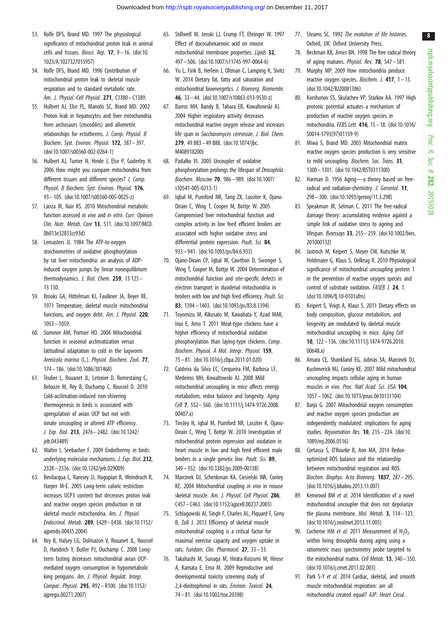- <span id="page-7-0"></span>53. Rolfe DFS, Brand MD. 1997 The physiological significance of mitochondrial proton leak in animal cells and tissues. Biosci. Rep.  $17$ ,  $9 - 16$ . ([doi:10.](http://dx.doi.org/10.1023/A:1027327015957) [1023/A:1027327015957](http://dx.doi.org/10.1023/A:1027327015957))
- 54. Rolfe DFS, Brand MD. 1996 Contribution of mitochondrial proton leak to skeletal muscle respiration and to standard metabolic rate. Am. J. Physiol.-Cell Physiol. 271, C1380– C1389.
- 55. Hulbert AJ, Else PL, Manolis SC, Brand MD. 2002 Proton leak in hepatocytes and liver mitochondria from archosaurs (crocodiles) and allometric relationships for ectotherms. J. Comp. Physiol. B Biochem. Syst. Environ. Physiol. 172, 387– 397. [\(doi:10.1007/s00360-002-0264-1\)](http://dx.doi.org/10.1007/s00360-002-0264-1)
- 56. Hulbert AJ, Turner N, Hinde J, Else P, Guderley H. 2006 How might you compare mitochondria from different tissues and different species? J. Comp. Physiol. B Biochem. Syst. Environ. Physiol. 176, 93 – 105. [\(doi:10.1007/s00360-005-0025-z\)](http://dx.doi.org/10.1007/s00360-005-0025-z)
- 57. Lanza IR, Nair KS. 2010 Mitochondrial metabolic function assessed in vivo and in vitro. Curr. Opinion Clin. Nutr. Metab. Care 13, 511. ([doi:10.1097/MCO.](http://dx.doi.org/10.1097/MCO.0b013e32833cc93d) [0b013e32833cc93d\)](http://dx.doi.org/10.1097/MCO.0b013e32833cc93d)
- 58. Lemasters JJ. 1984 The ATP-to-oxygen stoichiometries of oxidative phosphorylation by rat liver mitochondria: an analysis of ADPinduced oxygen jumps by linear nonequilibrium thermodynamics. J. Biol. Chem. 259, 13 123 – 13 130.
- 59. Brooks GA, Hittelman KJ, Faulkner JA, Beyer RE. 1971 Temperature, skeletal muscle mitochondrial functions, and oxygen debt. Am. J. Physiol. 220, 1053 – 1059.
- 60. Sommer AM, Portner HO. 2004 Mitochondrial function in seasonal acclimatization versus latitudinal adaptation to cold in the lugworm Arenicola marina (L.). Physiol. Biochem. Zool. 77, 174– 186. ([doi:10.1086/381468](http://dx.doi.org/10.1086/381468))
- 61. Teulier L, Rouanet JL, Letexier D, Romestaing C, Belouze M, Rey B, Duchamp C, Roussel D. 2010 Cold-acclimation-induced non-shivering thermogenesis in birds is associated with upregulation of avian UCP but not with innate uncoupling or altered ATP efficiency. J. Exp. Biol. 213, 2476– 2482. ([doi:10.1242/](http://dx.doi.org/10.1242/jeb.043489) [jeb.043489](http://dx.doi.org/10.1242/jeb.043489))
- 62. Walter I, Seebacher F. 2009 Endothermy in birds: underlying molecular mechanisms. J. Exp. Biol. 212, 2328 – 2336. [\(doi:10.1242/jeb.029009](http://dx.doi.org/10.1242/jeb.029009))
- 63. Bevilacqua L, Ramsey JJ, Hagopian K, Weindruch R, Harper M-E. 2005 Long-term caloric restriction increases UCP3 content but decreases proton leak and reactive oxygen species production in rat skeletal muscle mitochondria. Am. J. Physiol. Endocrinol. Metab. 289, E429 – E438. [\(doi:10.1152/](http://dx.doi.org/10.1152/ajpendo.00435.2004) [ajpendo.00435.2004\)](http://dx.doi.org/10.1152/ajpendo.00435.2004)
- 64. Rey B, Halsey LG, Dolmazon V, Rouanet JL, Roussel D, Handrich Y, Butler PJ, Duchamp C. 2008 Longterm fasting decreases mitochondrial avian UCPmediated oxygen consumption in hypometabolic king penguins. Am. J. Physiol. Regulat. Integr. Compar. Physiol. 295, R92 –R100. [\(doi:10.1152/](http://dx.doi.org/10.1152/ajpregu.00271.2007) [ajpregu.00271.2007\)](http://dx.doi.org/10.1152/ajpregu.00271.2007)
- 65. Stillwell W, Jenski LJ, Crump FT, Ehringer W. 1997 Effect of docosahexaenoic acid on mouse mitochondrial membrane properties. Lipids 32, 497 – 506. [\(doi:10.1007/s11745-997-0064-6\)](http://dx.doi.org/10.1007/s11745-997-0064-6)
- 66. Yu L, Fink B, Herlein J, Oltman C, Lamping K, Sivitz W. 2014 Dietary fat, fatty acid saturation and mitochondrial bioenergetics. J. Bioenerg. Biomembr. 46, 33 – 44. ([doi:10.1007/s10863-013-9530-z](http://dx.doi.org/10.1007/s10863-013-9530-z))
- 67. Barros MH, Bandy B, Tahara EB, Kowaltowski AJ. 2004 Higher respiratory activity decreases mitochondrial reactive oxygen release and increases life span in Saccharomyces cerevisiae. J. Biol. Chem. 279, 49 883– 49 888. [\(doi:10.1074/jbc.](http://dx.doi.org/10.1074/jbc.M408918200) [M408918200\)](http://dx.doi.org/10.1074/jbc.M408918200)
- 68. Padalko VI. 2005 Uncoupler of oxidative phosphorylation prolongs the lifespan of Drosophila. Biochem. Moscow 70, 986 – 989. ([doi:10.1007/](http://dx.doi.org/10.1007/s10541-005-0213-1) [s10541-005-0213-1\)](http://dx.doi.org/10.1007/s10541-005-0213-1)
- 69. Iqbal M, Pumford NR, Tang ZX, Lassiter K, Ojano-Dirain C, Wing T, Cooper M, Bottje W. 2005 Compromised liver mitochondrial function and complex activity in low feed efficient broilers are associated with higher oxidative stress and differential protein expression. Poult. Sci. 84, 933 – 941. [\(doi:10.1093/ps/84.6.933](http://dx.doi.org/10.1093/ps/84.6.933))
- 70. Ojano-Dirain CP, Iqbal M, Cawthon D, Swonger S, Wing T, Cooper M, Bottje W. 2004 Determination of mitochondrial function and site-specific defects in electron transport in duodenal mitochondria in broilers with low and high feed efficiency. Poult. Sci. 83, 1394 – 1403. [\(doi:10.1093/ps/83.8.1394](http://dx.doi.org/10.1093/ps/83.8.1394))
- 71. Toyomizu M, Kikusato M, Kawabata Y, Azad MAK, Inui E, Amo T. 2011 Meat-type chickens have a higher efficiency of mitochondrial oxidative phosphorylation than laying-type chickens. Comp. Biochem. Physiol. A Mol. Integr. Physiol. 159, 75 – 81. ([doi:10.1016/j.cbpa.2011.01.020\)](http://dx.doi.org/10.1016/j.cbpa.2011.01.020)
- 72. Caldeira da Silva CC, Cerqueira FM, Barbosa LF, Medeiros MH, Kowaltowski AJ. 2008 Mild mitochondrial uncoupling in mice affects energy metabolism, redox balance and longevity. Aging Cell 7, 552– 560. ([doi:10.1111/j.1474-9726.2008.](http://dx.doi.org/10.1111/j.1474-9726.2008.00407.x) [00407.x](http://dx.doi.org/10.1111/j.1474-9726.2008.00407.x))
- 73. Tinsley N, Iqbal M, Pumford NR, Lassiter K, Ojano-Dirain C, Wing T, Bottje W. 2010 Investigation of mitochondrial protein expression and oxidation in heart muscle in low and high feed efficient male broilers in a single genetic line. Poult. Sci. 89, 349 – 352. [\(doi:10.3382/ps.2009-00138\)](http://dx.doi.org/10.3382/ps.2009-00138)
- 74. Marcinek DJ, Schenkman KA, Ciesielski WA, Conley KE. 2004 Mitochondrial coupling in vivo in mouse skeletal muscle. Am. J. Physiol. Cell Physiol. 286. C457– C463. ([doi:10.1152/ajpcell.00237.2003\)](http://dx.doi.org/10.1152/ajpcell.00237.2003)
- 75. Schlagowski AI, Singh F, Charles AL, Piquard F, Geny B, Zoll J. 2013 Efficiency of skeletal muscle mitochondrial coupling is a critical factor for maximal exercise capacity and oxygen uptake in rats. Fundam. Clin. Pharmacol. 27, 33 – 33.
- 76. Takahashi M, Sunaga M, Hirata-Koizumi M, Hirose A, Kamata E, Ema M. 2009 Reproductive and developmental toxicity screening study of 2,4-dinitrophenol in rats. Environ. Toxicol. 24, 74 – 81. ([doi:10.1002/tox.20398](http://dx.doi.org/10.1002/tox.20398))
- 77. Stearns SC. 1992 The evolution of life histories. Oxford, UK: Oxford University Press.
- 78. Beckman KB, Ames BN. 1998 The free radical theory of aging matures. Physiol. Rev. 78, 547– 581.
- 79. Murphy MP. 2009 How mitochondria produce reactive oxygen species. Biochem. J. 417, 1– 13. ([doi:10.1042/BJ20081386\)](http://dx.doi.org/10.1042/BJ20081386)
- 80. Korshunov SS, Skulachev VP, Starkov AA. 1997 High protonic potential actuates a mechanism of production of reactive oxygen species in mitochondria. FEBS Lett. 416, 15 – 18. [\(doi:10.1016/](http://dx.doi.org/10.1016/S0014-5793(97)01159-9) [S0014-5793\(97\)01159-9](http://dx.doi.org/10.1016/S0014-5793(97)01159-9))
- 81. Miwa S, Brand MD. 2003 Mitochondrial matrix reactive oxygen species production is very sensitive to mild uncoupling. Biochem. Soc. Trans. 31, 1300– 1301. ([doi:10.1042/BST0311300](http://dx.doi.org/10.1042/BST0311300))
- 82. Harman D. 1956 Aging—a theory based on freeradical and radiation-chemistry. J. Gerontol. 11, 298– 300. [\(doi:10.1093/geronj/11.3.298](http://dx.doi.org/10.1093/geronj/11.3.298))
- 83. Speakman JR, Selman C. 2011 The free-radical damage theory: accumulating evidence against a simple link of oxidative stress to ageing and lifespan. Bioessays 33, 255– 259. ([doi:10.1002/bies.](http://dx.doi.org/10.1002/bies.201000132) [201000132](http://dx.doi.org/10.1002/bies.201000132))
- 84. Jastroch M, Keipert S, Meyer CW, Kutschke M, Heldmaier G, Klaus S, Oelkrug R. 2010 Physiological significance of mitochondrial uncoupling protein 1 in the prevention of reactive oxygen species and control of substrate oxidation. FASEB J. 24, 1. ([doi:10.1096/fj.10-0101ufm\)](http://dx.doi.org/10.1096/fj.10-0101ufm)
- 85. Keipert S, Voigt A, Klaus S. 2011 Dietary effects on body composition, glucose metabolism, and longevity are modulated by skeletal muscle mitochondrial uncoupling in mice. Aging Cell 10, 122 – 136. [\(doi:10.1111/j.1474-9726.2010.](http://dx.doi.org/10.1111/j.1474-9726.2010.00648.x) [00648.x](http://dx.doi.org/10.1111/j.1474-9726.2010.00648.x))
- 86. Amara CE, Shankland EG, Jubrias SA, Marcinek DJ, Kushmerick MJ, Conley KE. 2007 Mild mitochondrial uncoupling impacts cellular aging in human muscles in vivo. Proc. Natl Acad. Sci. USA 104. 1057– 1062. ([doi:10.1073/pnas.0610131104\)](http://dx.doi.org/10.1073/pnas.0610131104)
- 87. Barja G. 2007 Mitochondrial oxygen consumption and reactive oxygen species production are independently modulated: implications for aging studies. Rejuvenation Res. 10, 215 – 224. [\(doi:10.](http://dx.doi.org/10.1089/rej.2006.0516) [1089/rej.2006.0516\)](http://dx.doi.org/10.1089/rej.2006.0516)
- 88. Cortassa S, O'Rourke B, Aon MA. 2014 Redoxoptimized ROS balance and the relationship between mitochondrial respiration and ROS. Biochim. Biophys. Acta Bioenerg. 1837, 287– 295. ([doi:10.1016/j.bbabio.2013.11.007](http://dx.doi.org/10.1016/j.bbabio.2013.11.007))
- 89. Kenwood BM et al. 2014 Identification of a novel mitochondrial uncoupler that does not depolarize the plasma membrane. Mol. Metab. 3, 114-123. ([doi:10.1016/j.molmet.2013.11.005\)](http://dx.doi.org/10.1016/j.molmet.2013.11.005)
- 90. Cocheme HM et al. 2011 Measurement of  $H_2O_2$ within living drosophila during aging using a ratiometric mass spectrometry probe targeted to the mitochondrial matrix. Cell Metab. **13**, 340 – 350. ([doi:10.1016/j.cmet.2011.02.003\)](http://dx.doi.org/10.1016/j.cmet.2011.02.003)
- 91. Park S-Y et al. 2014 Cardiac, skeletal, and smooth muscle mitochondrial respiration: are all mitochondria created equal? AJP: Heart Circul.